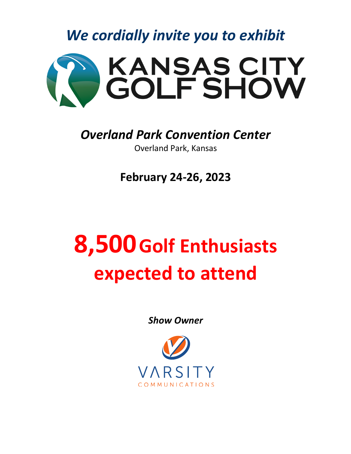*We cordially invite you to exhibit*



## *Overland Park Convention Center*

Overland Park, Kansas

**February 24-26, 2023**

## **8,500Golf Enthusiasts expected to attend**

*Show Owner*

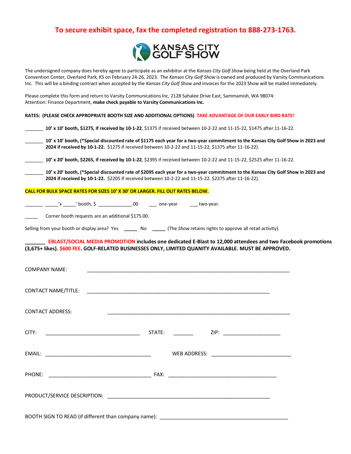## **To secure exhibit space, fax the completed registration to 888-273-1763.**



The undersigned company does hereby agree to participate as an exhibitor at the *Kansas City Golf Show* being held at the Overland Park Convention Center, Overland Park, KS on February 24-26, 2023. The *Kansas City Golf Show* is owned and produced by Varsity Communications Inc. This will be a binding contract when accepted by the *Kansas City Golf Show* and invoices for the 2023 Show will be mailed immediately.

Please complete this form and return to Varsity Communications Inc, 2128 Sahalee Drive East, Sammamish, WA 98074: Attention: Finance Department, **make check payable to Varsity Communications Inc.**

**RATES: (PLEASE CHECK APPROPRIATE BOOTH SIZE AND ADDITIONAL OPTIONS) TAKE ADVANTAGE OF OUR EARLY BIRD RATE!**

| 10' x 10' booth, \$1275, if received by 10-1-22, \$1375 if received between 10-2-22 and 11-15-22, \$1475 after 11-16-22.                                                                                                                                                                                            |
|---------------------------------------------------------------------------------------------------------------------------------------------------------------------------------------------------------------------------------------------------------------------------------------------------------------------|
| 10' x 10' booth, (*Special discounted rate of \$1175 each year for a two-year commitment to the Kansas City Golf Show in 2023 and<br>2024 if received by 10-1-22. \$1275 if received between 10-2-22 and 11-15-22, \$1375 after 11-16-22).                                                                          |
| 10' x 20' booth, \$2265, if received by 10-1-22, \$2395 if received between 10-2-22 and 11-15-22, \$2525 after 11-16-22.                                                                                                                                                                                            |
| 10' x 20' booth, (*Special discounted rate of \$2095 each year for a two-year commitment to the Kansas City Golf Show in 2023 and<br>2024 if received by 10-1-22. \$2205 if received between 10-2-22 and 11-15-22. \$2375 after 11-16-22).                                                                          |
| <b>CALL FOR BULK SPACE RATES FOR SIZES 10' X 30' OR LARGER. FILL OUT RATES BELOW.</b>                                                                                                                                                                                                                               |
| $\frac{1}{2}$ $\frac{1}{2}$ $\frac{1}{2}$ $\frac{1}{2}$ $\frac{1}{2}$ $\frac{1}{2}$ $\frac{1}{2}$ $\frac{1}{2}$ $\frac{1}{2}$ $\frac{1}{2}$ $\frac{1}{2}$ $\frac{1}{2}$ $\frac{1}{2}$ $\frac{1}{2}$ $\frac{1}{2}$ $\frac{1}{2}$ $\frac{1}{2}$ $\frac{1}{2}$ $\frac{1}{2}$ $\frac{1}{2}$ $\frac{1}{2}$ $\frac{1}{2}$ |
| Corner booth requests are an additional \$175.00.                                                                                                                                                                                                                                                                   |
| Selling from your booth or display area? Yes _____ No ____ (The Show retains rights to approve all retail activity).                                                                                                                                                                                                |
| EBLAST/SOCIAL MEDIA PROMOTION includes one dedicated E-Blast to 12,000 attendees and two Facebook promotions<br>(3,675+ likes). \$600 FEE. GOLF-RELATED BUSINESSES ONLY, LIMITED QUANITY AVAILABLE. MUST BE APPROVED.                                                                                               |
| <b>COMPANY NAME:</b>                                                                                                                                                                                                                                                                                                |
|                                                                                                                                                                                                                                                                                                                     |
| <b>CONTACT ADDRESS:</b>                                                                                                                                                                                                                                                                                             |
| CITY:                                                                                                                                                                                                                                                                                                               |
|                                                                                                                                                                                                                                                                                                                     |
|                                                                                                                                                                                                                                                                                                                     |
|                                                                                                                                                                                                                                                                                                                     |
| BOOTH SIGN TO READ (if different than company name):                                                                                                                                                                                                                                                                |